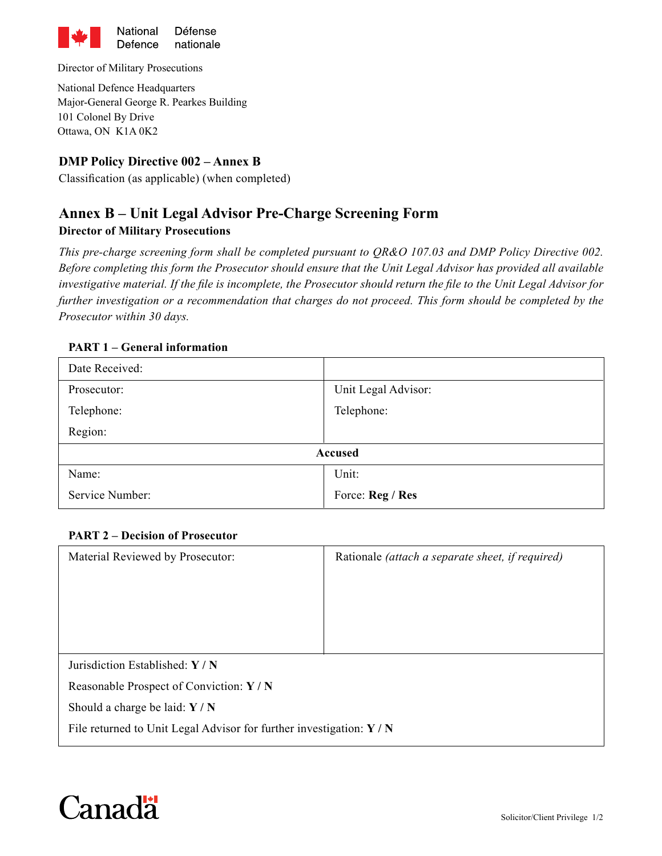

Director of Military Prosecutions

National Defence Headquarters Major-General George R. Pearkes Building 101 Colonel By Drive Ottawa, ON K1A 0K2

### **DMP Policy Directive 002 – Annex B**

Classification (as applicable) (when completed)

# **Annex B – Unit Legal Advisor Pre-Charge Screening Form**

### **Director of Military Prosecutions**

*This pre-charge screening form shall be completed pursuant to QR&O 107.03 and DMP Policy Directive 002. Before completing this form the Prosecutor should ensure that the Unit Legal Advisor has provided all available investigative material. If the file is incomplete, the Prosecutor should return the file to the Unit Legal Advisor for further investigation or a recommendation that charges do not proceed. This form should be completed by the Prosecutor within 30 days.* 

#### **PART 1 – General information**

| Date Received:  |                     |  |
|-----------------|---------------------|--|
| Prosecutor:     | Unit Legal Advisor: |  |
| Telephone:      | Telephone:          |  |
| Region:         |                     |  |
| Accused         |                     |  |
| Name:           | Unit:               |  |
| Service Number: | Force: Reg / Res    |  |

#### **PART 2 – Decision of Prosecutor**

| Material Reviewed by Prosecutor:                                                         | Rationale <i>(attach a separate sheet, if required)</i> |
|------------------------------------------------------------------------------------------|---------------------------------------------------------|
| Jurisdiction Established: $Y/N$                                                          |                                                         |
| Reasonable Prospect of Conviction: Y / N                                                 |                                                         |
| Should a charge be laid: $Y/N$                                                           |                                                         |
| File returned to Unit Legal Advisor for further investigation: $\mathbf{Y} / \mathbf{N}$ |                                                         |